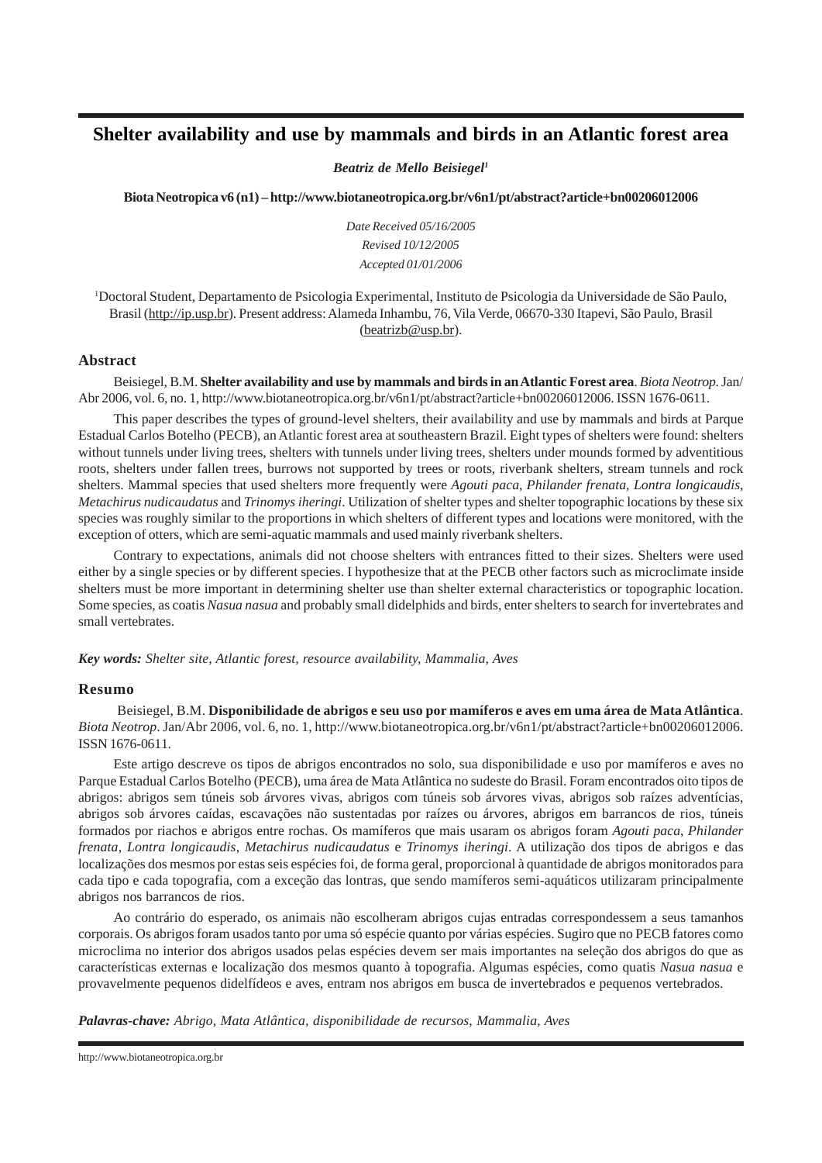# **Shelter availability and use by mammals and birds in an Atlantic forest area**

*Beatriz de Mello Beisiegel1*

**Biota Neotropica v6 (n1) – <http://www.biotaneotropica.org.br/v6n1/pt/abstract?article+bn00206012006>**

*Date Received 05/16/2005 Revised 10/12/2005 Accepted 01/01/2006*

1 Doctoral Student, Departamento de Psicologia Experimental, Instituto de Psicologia da Universidade de São Paulo, Brasil ([http://ip.usp.br\)](http://ip.usp.br). Present address: Alameda Inhambu, 76, Vila Verde, 06670-330 Itapevi, São Paulo, Brasil [\(beatrizb@usp.br](mailto:beatrizb@usp.br)).

## **Abstract**

Beisiegel, B.M. **Shelter availability and use by mammals and birds in an Atlantic Forest area**. *Biota Neotrop*. Jan/ Abr 2006, vol. 6, no. 1, [http://www.biotaneotropica.org.br/v6n1/pt/abstract?article+bn00206012006.](http://www.biotaneotropica.org.br/v6n1/pt/abstract?article+bn00206012006) ISSN 1676-0611.

This paper describes the types of ground-level shelters, their availability and use by mammals and birds at Parque Estadual Carlos Botelho (PECB), an Atlantic forest area at southeastern Brazil. Eight types of shelters were found: shelters without tunnels under living trees, shelters with tunnels under living trees, shelters under mounds formed by adventitious roots, shelters under fallen trees, burrows not supported by trees or roots, riverbank shelters, stream tunnels and rock shelters. Mammal species that used shelters more frequently were *Agouti paca*, *Philander frenata, Lontra longicaudis*, *Metachirus nudicaudatus* and *Trinomys iheringi*. Utilization of shelter types and shelter topographic locations by these six species was roughly similar to the proportions in which shelters of different types and locations were monitored, with the exception of otters, which are semi-aquatic mammals and used mainly riverbank shelters.

Contrary to expectations, animals did not choose shelters with entrances fitted to their sizes. Shelters were used either by a single species or by different species. I hypothesize that at the PECB other factors such as microclimate inside shelters must be more important in determining shelter use than shelter external characteristics or topographic location. Some species, as coatis *Nasua nasua* and probably small didelphids and birds, enter shelters to search for invertebrates and small vertebrates.

*Key words: Shelter site, Atlantic forest, resource availability, Mammalia, Aves*

## **Resumo**

Beisiegel, B.M. **Disponibilidade de abrigos e seu uso por mamíferos e aves em uma área de Mata Atlântica**. *Biota Neotrop*. Jan/Abr 2006, vol. 6, no. 1, [http://www.biotaneotropica.org.br/v6n1/pt/abstract?article+bn00206012006.](http://www.biotaneotropica.org.br/v6n1/pt/abstract?article+bn00206012006) ISSN 1676-0611.

Este artigo descreve os tipos de abrigos encontrados no solo, sua disponibilidade e uso por mamíferos e aves no Parque Estadual Carlos Botelho (PECB), uma área de Mata Atlântica no sudeste do Brasil. Foram encontrados oito tipos de abrigos: abrigos sem túneis sob árvores vivas, abrigos com túneis sob árvores vivas, abrigos sob raízes adventícias, abrigos sob árvores caídas, escavações não sustentadas por raízes ou árvores, abrigos em barrancos de rios, túneis formados por riachos e abrigos entre rochas. Os mamíferos que mais usaram os abrigos foram *Agouti paca*, *Philander frenata, Lontra longicaudis*, *Metachirus nudicaudatus* e *Trinomys iheringi*. A utilização dos tipos de abrigos e das localizações dos mesmos por estas seis espécies foi, de forma geral, proporcional à quantidade de abrigos monitorados para cada tipo e cada topografia, com a exceção das lontras, que sendo mamíferos semi-aquáticos utilizaram principalmente abrigos nos barrancos de rios.

Ao contrário do esperado, os animais não escolheram abrigos cujas entradas correspondessem a seus tamanhos corporais. Os abrigos foram usados tanto por uma só espécie quanto por várias espécies. Sugiro que no PECB fatores como microclima no interior dos abrigos usados pelas espécies devem ser mais importantes na seleção dos abrigos do que as características externas e localização dos mesmos quanto à topografia. Algumas espécies, como quatis *Nasua nasua* e provavelmente pequenos didelfídeos e aves, entram nos abrigos em busca de invertebrados e pequenos vertebrados.

*Palavras-chave: Abrigo, Mata Atlântica, disponibilidade de recursos, Mammalia, Aves*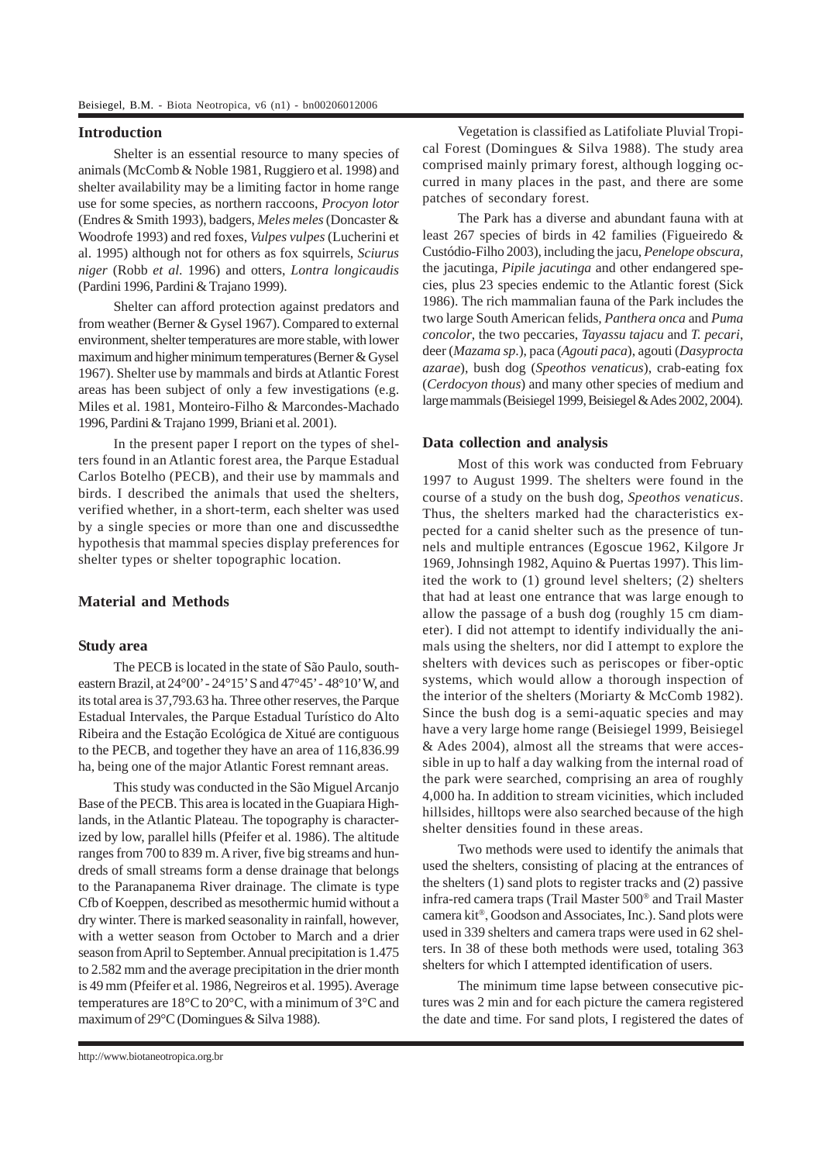## **Introduction**

Shelter is an essential resource to many species of animals (McComb & Noble 1981, Ruggiero et al. 1998) and shelter availability may be a limiting factor in home range use for some species, as northern raccoons, *Procyon lotor* (Endres & Smith 1993), badgers, *Meles meles* (Doncaster & Woodrofe 1993) and red foxes, *Vulpes vulpes* (Lucherini et al. 1995) although not for others as fox squirrels, *Sciurus niger* (Robb *et al*. 1996) and otters, *Lontra longicaudis* (Pardini 1996, Pardini & Trajano 1999).

Shelter can afford protection against predators and from weather (Berner & Gysel 1967). Compared to external environment, shelter temperatures are more stable, with lower maximum and higher minimum temperatures (Berner & Gysel 1967). Shelter use by mammals and birds at Atlantic Forest areas has been subject of only a few investigations (e.g. Miles et al. 1981, Monteiro-Filho & Marcondes-Machado 1996, Pardini & Trajano 1999, Briani et al. 2001).

In the present paper I report on the types of shelters found in an Atlantic forest area, the Parque Estadual Carlos Botelho (PECB), and their use by mammals and birds. I described the animals that used the shelters, verified whether, in a short-term, each shelter was used by a single species or more than one and discussedthe hypothesis that mammal species display preferences for shelter types or shelter topographic location.

## **Material and Methods**

#### **Study area**

The PECB is located in the state of São Paulo, southeastern Brazil, at 24°00' - 24°15' S and 47°45' - 48°10' W, and its total area is 37,793.63 ha. Three other reserves, the Parque Estadual Intervales, the Parque Estadual Turístico do Alto Ribeira and the Estação Ecológica de Xitué are contiguous to the PECB, and together they have an area of 116,836.99 ha, being one of the major Atlantic Forest remnant areas.

This study was conducted in the São Miguel Arcanjo Base of the PECB. This area is located in the Guapiara Highlands, in the Atlantic Plateau. The topography is characterized by low, parallel hills (Pfeifer et al. 1986). The altitude ranges from 700 to 839 m. A river, five big streams and hundreds of small streams form a dense drainage that belongs to the Paranapanema River drainage. The climate is type Cfb of Koeppen, described as mesothermic humid without a dry winter. There is marked seasonality in rainfall, however, with a wetter season from October to March and a drier season from April to September. Annual precipitation is 1.475 to 2.582 mm and the average precipitation in the drier month is 49 mm (Pfeifer et al. 1986, Negreiros et al. 1995). Average temperatures are 18°C to 20°C, with a minimum of 3°C and maximum of 29°C (Domingues & Silva 1988).

Vegetation is classified as Latifoliate Pluvial Tropical Forest (Domingues & Silva 1988). The study area comprised mainly primary forest, although logging occurred in many places in the past, and there are some patches of secondary forest.

The Park has a diverse and abundant fauna with at least 267 species of birds in 42 families (Figueiredo & Custódio-Filho 2003), including the jacu, *Penelope obscura,* the jacutinga, *Pipile jacutinga* and other endangered species, plus 23 species endemic to the Atlantic forest (Sick 1986). The rich mammalian fauna of the Park includes the two large South American felids*, Panthera onca* and *Puma concolor*, the two peccaries, *Tayassu tajacu* and *T. pecari*, deer (*Mazama sp*.), paca (*Agouti paca*), agouti (*Dasyprocta azarae*), bush dog (*Speothos venaticus*), crab-eating fox (*Cerdocyon thous*) and many other species of medium and large mammals (Beisiegel 1999, Beisiegel & Ades 2002, 2004).

#### **Data collection and analysis**

Most of this work was conducted from February 1997 to August 1999. The shelters were found in the course of a study on the bush dog, *Speothos venaticus*. Thus, the shelters marked had the characteristics expected for a canid shelter such as the presence of tunnels and multiple entrances (Egoscue 1962, Kilgore Jr 1969, Johnsingh 1982, Aquino & Puertas 1997). This limited the work to (1) ground level shelters; (2) shelters that had at least one entrance that was large enough to allow the passage of a bush dog (roughly 15 cm diameter). I did not attempt to identify individually the animals using the shelters, nor did I attempt to explore the shelters with devices such as periscopes or fiber-optic systems, which would allow a thorough inspection of the interior of the shelters (Moriarty & McComb 1982). Since the bush dog is a semi-aquatic species and may have a very large home range (Beisiegel 1999, Beisiegel & Ades 2004), almost all the streams that were accessible in up to half a day walking from the internal road of the park were searched, comprising an area of roughly 4,000 ha. In addition to stream vicinities, which included hillsides, hilltops were also searched because of the high shelter densities found in these areas.

Two methods were used to identify the animals that used the shelters, consisting of placing at the entrances of the shelters (1) sand plots to register tracks and (2) passive infra-red camera traps (Trail Master 500® and Trail Master camera kit®, Goodson and Associates, Inc.). Sand plots were used in 339 shelters and camera traps were used in 62 shelters. In 38 of these both methods were used, totaling 363 shelters for which I attempted identification of users.

The minimum time lapse between consecutive pictures was 2 min and for each picture the camera registered the date and time. For sand plots, I registered the dates of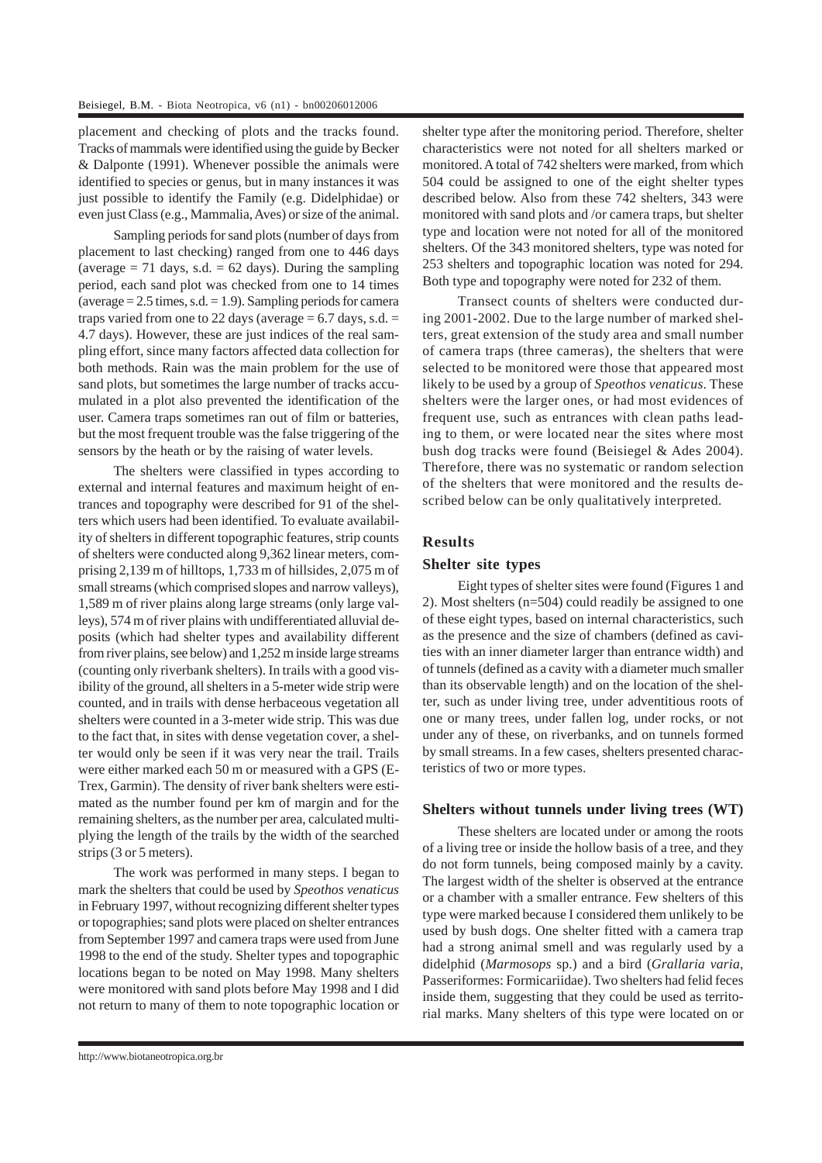placement and checking of plots and the tracks found. Tracks of mammals were identified using the guide by Becker & Dalponte (1991). Whenever possible the animals were identified to species or genus, but in many instances it was just possible to identify the Family (e.g. Didelphidae) or even just Class (e.g., Mammalia, Aves) or size of the animal.

Sampling periods for sand plots (number of days from placement to last checking) ranged from one to 446 days (average  $= 71$  days, s.d.  $= 62$  days). During the sampling period, each sand plot was checked from one to 14 times  $(average = 2.5 \times s. d. = 1.9)$ . Sampling periods for camera traps varied from one to 22 days (average  $= 6.7$  days, s.d.  $=$ 4.7 days). However, these are just indices of the real sampling effort, since many factors affected data collection for both methods. Rain was the main problem for the use of sand plots, but sometimes the large number of tracks accumulated in a plot also prevented the identification of the user. Camera traps sometimes ran out of film or batteries, but the most frequent trouble was the false triggering of the sensors by the heath or by the raising of water levels.

The shelters were classified in types according to external and internal features and maximum height of entrances and topography were described for 91 of the shelters which users had been identified. To evaluate availability of shelters in different topographic features, strip counts of shelters were conducted along 9,362 linear meters, comprising 2,139 m of hilltops, 1,733 m of hillsides, 2,075 m of small streams (which comprised slopes and narrow valleys), 1,589 m of river plains along large streams (only large valleys), 574 m of river plains with undifferentiated alluvial deposits (which had shelter types and availability different from river plains, see below) and 1,252 m inside large streams (counting only riverbank shelters). In trails with a good visibility of the ground, all shelters in a 5-meter wide strip were counted, and in trails with dense herbaceous vegetation all shelters were counted in a 3-meter wide strip. This was due to the fact that, in sites with dense vegetation cover, a shelter would only be seen if it was very near the trail. Trails were either marked each 50 m or measured with a GPS (E-Trex, Garmin). The density of river bank shelters were estimated as the number found per km of margin and for the remaining shelters, as the number per area, calculated multiplying the length of the trails by the width of the searched strips (3 or 5 meters).

The work was performed in many steps. I began to mark the shelters that could be used by *Speothos venaticus* in February 1997, without recognizing different shelter types or topographies; sand plots were placed on shelter entrances from September 1997 and camera traps were used from June 1998 to the end of the study. Shelter types and topographic locations began to be noted on May 1998. Many shelters were monitored with sand plots before May 1998 and I did not return to many of them to note topographic location or

shelter type after the monitoring period. Therefore, shelter characteristics were not noted for all shelters marked or monitored. A total of 742 shelters were marked, from which 504 could be assigned to one of the eight shelter types described below. Also from these 742 shelters, 343 were monitored with sand plots and /or camera traps, but shelter type and location were not noted for all of the monitored shelters. Of the 343 monitored shelters, type was noted for 253 shelters and topographic location was noted for 294. Both type and topography were noted for 232 of them.

Transect counts of shelters were conducted during 2001-2002. Due to the large number of marked shelters, great extension of the study area and small number of camera traps (three cameras), the shelters that were selected to be monitored were those that appeared most likely to be used by a group of *Speothos venaticus*. These shelters were the larger ones, or had most evidences of frequent use, such as entrances with clean paths leading to them, or were located near the sites where most bush dog tracks were found (Beisiegel & Ades 2004). Therefore, there was no systematic or random selection of the shelters that were monitored and the results described below can be only qualitatively interpreted.

## **Results**

### **Shelter site types**

Eight types of shelter sites were found (Figures 1 and 2). Most shelters (n=504) could readily be assigned to one of these eight types, based on internal characteristics, such as the presence and the size of chambers (defined as cavities with an inner diameter larger than entrance width) and of tunnels (defined as a cavity with a diameter much smaller than its observable length) and on the location of the shelter, such as under living tree, under adventitious roots of one or many trees, under fallen log, under rocks, or not under any of these, on riverbanks, and on tunnels formed by small streams. In a few cases, shelters presented characteristics of two or more types.

## **Shelters without tunnels under living trees (WT)**

These shelters are located under or among the roots of a living tree or inside the hollow basis of a tree, and they do not form tunnels, being composed mainly by a cavity. The largest width of the shelter is observed at the entrance or a chamber with a smaller entrance. Few shelters of this type were marked because I considered them unlikely to be used by bush dogs. One shelter fitted with a camera trap had a strong animal smell and was regularly used by a didelphid (*Marmosops* sp.) and a bird (*Grallaria varia*, Passeriformes: Formicariidae). Two shelters had felid feces inside them, suggesting that they could be used as territorial marks. Many shelters of this type were located on or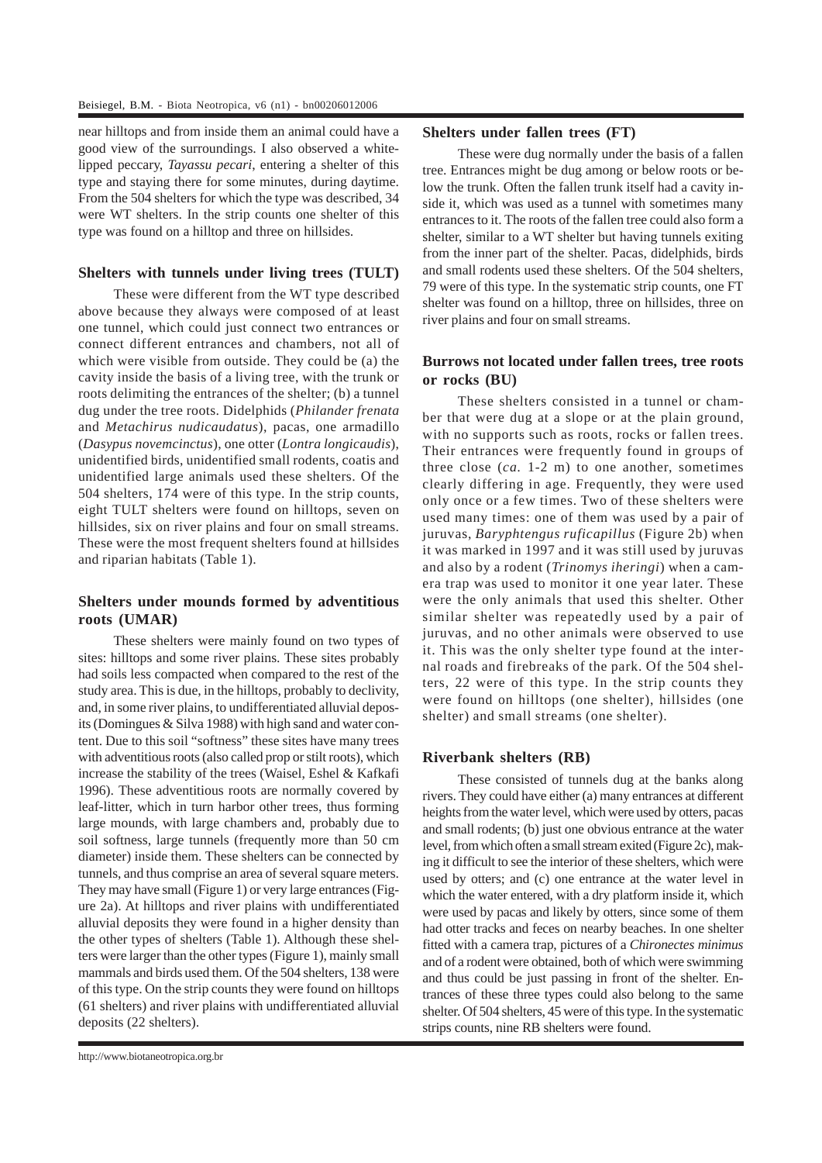near hilltops and from inside them an animal could have a good view of the surroundings. I also observed a whitelipped peccary, *Tayassu pecari*, entering a shelter of this type and staying there for some minutes, during daytime. From the 504 shelters for which the type was described, 34 were WT shelters. In the strip counts one shelter of this type was found on a hilltop and three on hillsides.

## **Shelters with tunnels under living trees (TULT)**

These were different from the WT type described above because they always were composed of at least one tunnel, which could just connect two entrances or connect different entrances and chambers, not all of which were visible from outside. They could be (a) the cavity inside the basis of a living tree, with the trunk or roots delimiting the entrances of the shelter; (b) a tunnel dug under the tree roots. Didelphids (*Philander frenata* and *Metachirus nudicaudatus*), pacas, one armadillo (*Dasypus novemcinctus*), one otter (*Lontra longicaudis*), unidentified birds, unidentified small rodents, coatis and unidentified large animals used these shelters. Of the 504 shelters, 174 were of this type. In the strip counts, eight TULT shelters were found on hilltops, seven on hillsides, six on river plains and four on small streams. These were the most frequent shelters found at hillsides and riparian habitats ([Table 1\)](#page-5-0).

## **Shelters under mounds formed by adventitious roots (UMAR)**

These shelters were mainly found on two types of sites: hilltops and some river plains. These sites probably had soils less compacted when compared to the rest of the study area. This is due, in the hilltops, probably to declivity, and, in some river plains, to undifferentiated alluvial deposits (Domingues & Silva 1988) with high sand and water content. Due to this soil "softness" these sites have many trees with adventitious roots (also called prop or stilt roots), which increase the stability of the trees (Waisel, Eshel & Kafkafi 1996). These adventitious roots are normally covered by leaf-litter, which in turn harbor other trees, thus forming large mounds, with large chambers and, probably due to soil softness, large tunnels (frequently more than 50 cm diameter) inside them. These shelters can be connected by tunnels, and thus comprise an area of several square meters. They may have small ([Figure 1\)](#page-13-0) or very large entrances ([Fig](#page-14-0)[ure 2](#page-14-0)a). At hilltops and river plains with undifferentiated alluvial deposits they were found in a higher density than the other types of shelters [\(Table 1](#page-5-0)). Although these shelters were larger than the other types [\(Figure 1\)](#page-13-0), mainly small mammals and birds used them. Of the 504 shelters, 138 were of this type. On the strip counts they were found on hilltops (61 shelters) and river plains with undifferentiated alluvial deposits (22 shelters).

## **Shelters under fallen trees (FT)**

These were dug normally under the basis of a fallen tree. Entrances might be dug among or below roots or below the trunk. Often the fallen trunk itself had a cavity inside it, which was used as a tunnel with sometimes many entrances to it. The roots of the fallen tree could also form a shelter, similar to a WT shelter but having tunnels exiting from the inner part of the shelter. Pacas, didelphids, birds and small rodents used these shelters. Of the 504 shelters, 79 were of this type. In the systematic strip counts, one FT shelter was found on a hilltop, three on hillsides, three on river plains and four on small streams.

## **Burrows not located under fallen trees, tree roots or rocks (BU)**

These shelters consisted in a tunnel or chamber that were dug at a slope or at the plain ground, with no supports such as roots, rocks or fallen trees. Their entrances were frequently found in groups of three close (*ca.* 1-2 m) to one another, sometimes clearly differing in age. Frequently, they were used only once or a few times. Two of these shelters were used many times: one of them was used by a pair of juruvas, *Baryphtengus ruficapillus* ([Figure 2](#page-14-0)b) when it was marked in 1997 and it was still used by juruvas and also by a rodent (*Trinomys iheringi*) when a camera trap was used to monitor it one year later. These were the only animals that used this shelter. Other similar shelter was repeatedly used by a pair of juruvas, and no other animals were observed to use it. This was the only shelter type found at the internal roads and firebreaks of the park. Of the 504 shelters, 22 were of this type. In the strip counts they were found on hilltops (one shelter), hillsides (one shelter) and small streams (one shelter).

#### **Riverbank shelters (RB)**

These consisted of tunnels dug at the banks along rivers. They could have either (a) many entrances at different heights from the water level, which were used by otters, pacas and small rodents; (b) just one obvious entrance at the water level, from which often a small stream exited ([Figure 2c](#page-14-0)), making it difficult to see the interior of these shelters, which were used by otters; and (c) one entrance at the water level in which the water entered, with a dry platform inside it, which were used by pacas and likely by otters, since some of them had otter tracks and feces on nearby beaches. In one shelter fitted with a camera trap, pictures of a *Chironectes minimus* and of a rodent were obtained, both of which were swimming and thus could be just passing in front of the shelter. Entrances of these three types could also belong to the same shelter. Of 504 shelters, 45 were of this type. In the systematic strips counts, nine RB shelters were found.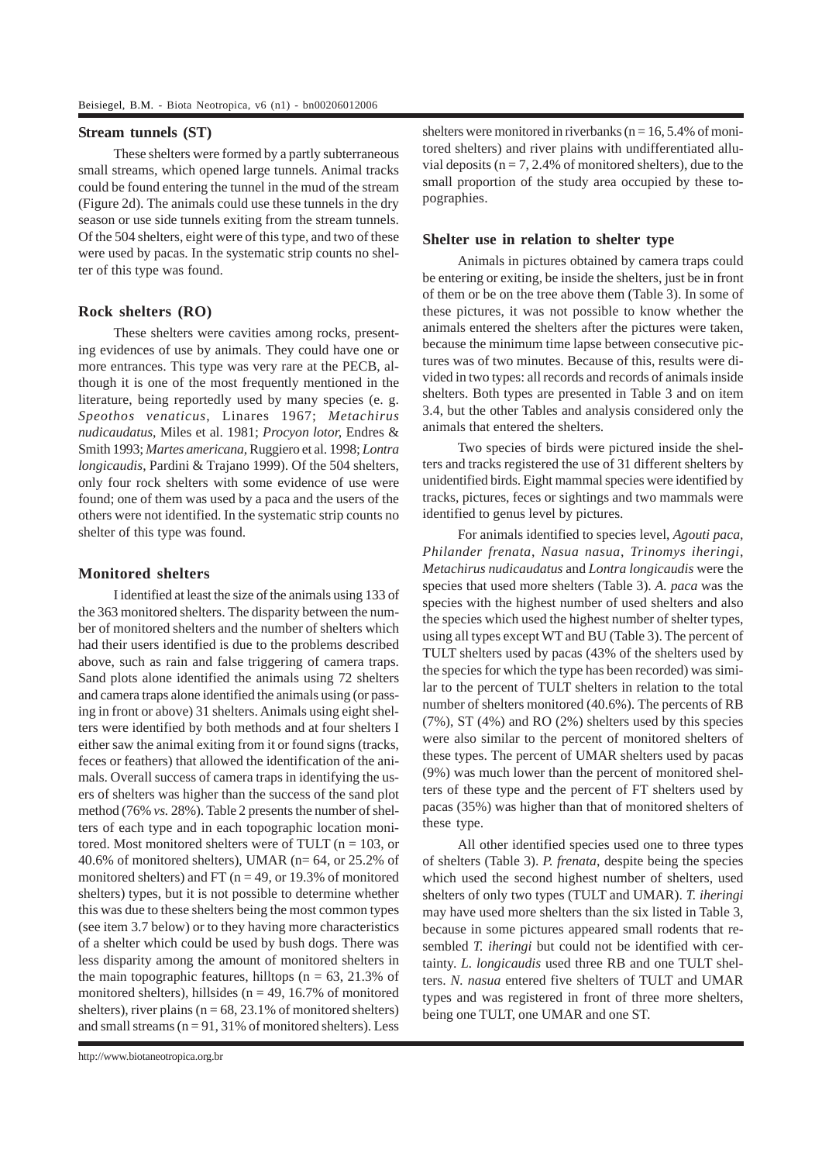#### **Stream tunnels (ST)**

These shelters were formed by a partly subterraneous small streams, which opened large tunnels. Animal tracks could be found entering the tunnel in the mud of the stream [\(Figure 2](#page-14-0)d). The animals could use these tunnels in the dry season or use side tunnels exiting from the stream tunnels. Of the 504 shelters, eight were of this type, and two of these were used by pacas. In the systematic strip counts no shelter of this type was found.

#### **Rock shelters (RO)**

These shelters were cavities among rocks, presenting evidences of use by animals. They could have one or more entrances. This type was very rare at the PECB, although it is one of the most frequently mentioned in the literature, being reportedly used by many species (e. g. *Speothos venaticus*, Linares 1967; *Metachirus nudicaudatus*, Miles et al. 1981; *Procyon lotor,* Endres & Smith 1993; *Martes americana*, Ruggiero et al. 1998; *Lontra longicaudis*, Pardini & Trajano 1999). Of the 504 shelters, only four rock shelters with some evidence of use were found; one of them was used by a paca and the users of the others were not identified. In the systematic strip counts no shelter of this type was found.

## **Monitored shelters**

I identified at least the size of the animals using 133 of the 363 monitored shelters. The disparity between the number of monitored shelters and the number of shelters which had their users identified is due to the problems described above, such as rain and false triggering of camera traps. Sand plots alone identified the animals using 72 shelters and camera traps alone identified the animals using (or passing in front or above) 31 shelters. Animals using eight shelters were identified by both methods and at four shelters I either saw the animal exiting from it or found signs (tracks, feces or feathers) that allowed the identification of the animals. Overall success of camera traps in identifying the users of shelters was higher than the success of the sand plot method (76% *vs.* 28%). [Table 2](#page-5-0) presents the number of shelters of each type and in each topographic location monitored. Most monitored shelters were of TULT ( $n = 103$ , or 40.6% of monitored shelters), UMAR ( $n= 64$ , or 25.2% of monitored shelters) and FT ( $n = 49$ , or 19.3% of monitored shelters) types, but it is not possible to determine whether this was due to these shelters being the most common types (see item 3.7 below) or to they having more characteristics of a shelter which could be used by bush dogs. There was less disparity among the amount of monitored shelters in the main topographic features, hilltops ( $n = 63$ , 21.3% of monitored shelters), hillsides ( $n = 49$ , 16.7% of monitored shelters), river plains ( $n = 68, 23.1\%$  of monitored shelters) and small streams  $(n = 91, 31\%$  of monitored shelters). Less

shelters were monitored in riverbanks ( $n = 16, 5.4\%$  of monitored shelters) and river plains with undifferentiated alluvial deposits ( $n = 7, 2.4\%$  of monitored shelters), due to the small proportion of the study area occupied by these topographies.

#### **Shelter use in relation to shelter type**

Animals in pictures obtained by camera traps could be entering or exiting, be inside the shelters, just be in front of them or be on the tree above them (Table 3). In some of these pictures, it was not possible to know whether the animals entered the shelters after the pictures were taken, because the minimum time lapse between consecutive pictures was of two minutes. Because of this, results were divided in two types: all records and records of animals inside shelters. Both types are presented in Table 3 and on item 3.4, but the other Tables and analysis considered only the animals that entered the shelters.

Two species of birds were pictured inside the shelters and tracks registered the use of 31 different shelters by unidentified birds. Eight mammal species were identified by tracks, pictures, feces or sightings and two mammals were identified to genus level by pictures.

For animals identified to species level, *Agouti paca, Philander frenata*, *Nasua nasua*, *Trinomys iheringi*, *Metachirus nudicaudatus* and *Lontra longicaudis* were the species that used more shelters (Table 3). *A. paca* was the species with the highest number of used shelters and also the species which used the highest number of shelter types, using all types except WT and BU (Table 3). The percent of TULT shelters used by pacas (43% of the shelters used by the species for which the type has been recorded) was similar to the percent of TULT shelters in relation to the total number of shelters monitored (40.6%). The percents of RB (7%), ST (4%) and RO (2%) shelters used by this species were also similar to the percent of monitored shelters of these types. The percent of UMAR shelters used by pacas (9%) was much lower than the percent of monitored shelters of these type and the percent of FT shelters used by pacas (35%) was higher than that of monitored shelters of these type.

All other identified species used one to three types of shelters (Table 3). *P. frenata*, despite being the species which used the second highest number of shelters, used shelters of only two types (TULT and UMAR). *T. iheringi* may have used more shelters than the six listed in Table 3, because in some pictures appeared small rodents that resembled *T. iheringi* but could not be identified with certainty. *L. longicaudis* used three RB and one TULT shelters. *N. nasua* entered five shelters of TULT and UMAR types and was registered in front of three more shelters, being one TULT, one UMAR and one ST.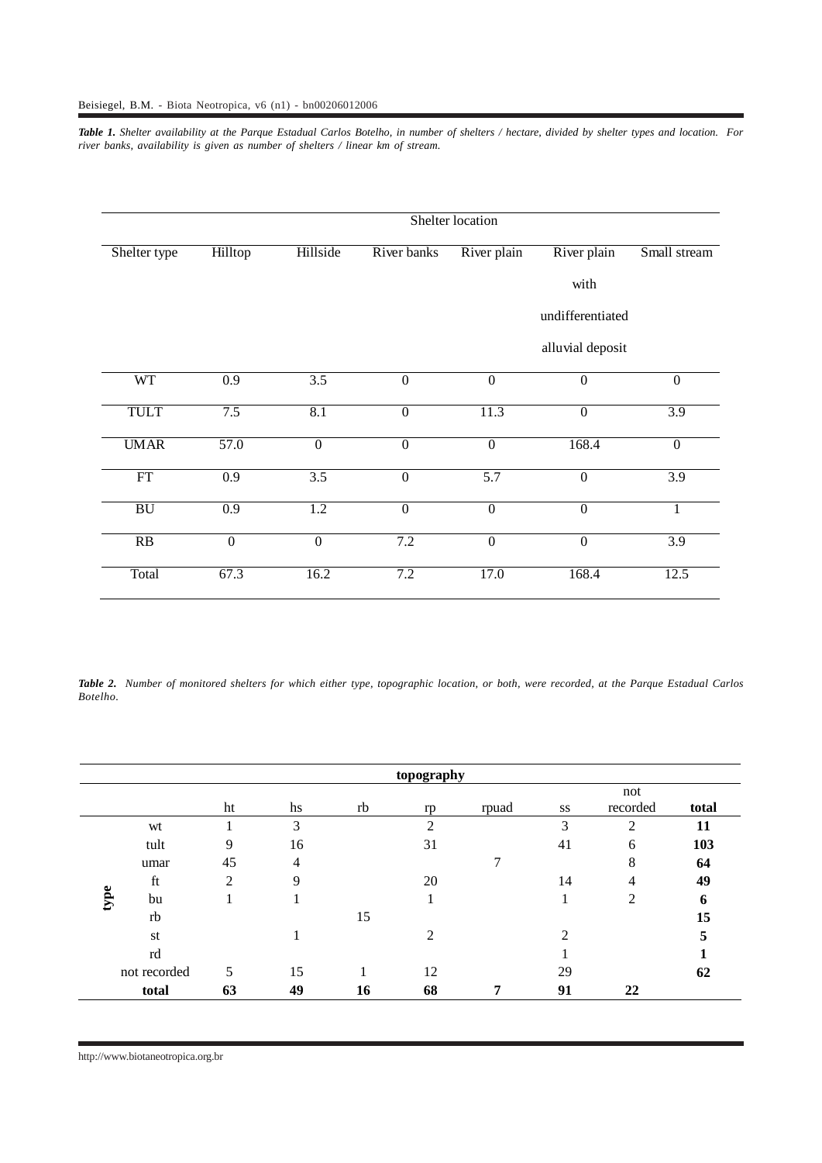<span id="page-5-0"></span>*Table 1. Shelter availability at the Parque Estadual Carlos Botelho, in number of shelters / hectare, divided by shelter types and location. For river banks, availability is given as number of shelters / linear km of stream.*

|              |                  |                  |                  | Shelter location |                  |                  |
|--------------|------------------|------------------|------------------|------------------|------------------|------------------|
| Shelter type | Hilltop          | Hillside         | River banks      | River plain      | River plain      | Small stream     |
|              |                  |                  |                  |                  | with             |                  |
|              |                  |                  |                  |                  | undifferentiated |                  |
|              |                  |                  |                  |                  | alluvial deposit |                  |
| <b>WT</b>    | 0.9              | 3.5              | $\boldsymbol{0}$ | $\boldsymbol{0}$ | $\boldsymbol{0}$ | $\boldsymbol{0}$ |
| <b>TULT</b>  | $7.5$            | 8.1              | $\mathbf{0}$     | 11.3             | $\boldsymbol{0}$ | 3.9              |
| <b>UMAR</b>  | 57.0             | $\overline{0}$   | $\overline{0}$   | $\overline{0}$   | 168.4            | $\overline{0}$   |
| FT           | 0.9              | 3.5              | $\mathbf{0}$     | 5.7              | $\boldsymbol{0}$ | 3.9              |
| BU           | $\overline{0.9}$ | 1.2              | $\overline{0}$   | $\overline{0}$   | $\overline{0}$   | $\mathbf{1}$     |
| RB           | $\overline{0}$   | $\boldsymbol{0}$ | 7.2              | $\overline{0}$   | $\boldsymbol{0}$ | 3.9              |
| Total        | 67.3             | 16.2             | 7.2              | 17.0             | 168.4            | 12.5             |

*Table 2. Number of monitored shelters for which either type, topographic location, or both, were recorded, at the Parque Estadual Carlos Botelho.*

|      |              |    |                |    | topography     |       |                |          |       |
|------|--------------|----|----------------|----|----------------|-------|----------------|----------|-------|
|      |              |    |                |    |                |       |                | not      |       |
|      |              | ht | hs             | rb | rp             | rpuad | SS             | recorded | total |
|      | wt           |    | 3              |    | $\overline{c}$ |       | 3              | 2        | 11    |
|      | tult         | 9  | 16             |    | 31             |       | 41             | 6        | 103   |
|      | umar         | 45 | $\overline{4}$ |    |                |       |                | 8        | 64    |
|      | $_{\rm ft}$  | 2  | 9              |    | 20             |       | 14             | 4        | 49    |
| type | bu           | 1  |                |    |                |       |                | 2        | 6     |
|      | rb           |    |                | 15 |                |       |                |          | 15    |
|      | st           |    |                |    | $\mathfrak{D}$ |       | $\overline{2}$ |          | 5     |
|      | rd           |    |                |    |                |       |                |          |       |
|      | not recorded | 5  | 15             |    | 12             |       | 29             |          | 62    |
|      | total        | 63 | 49             | 16 | 68             | 7     | 91             | 22       |       |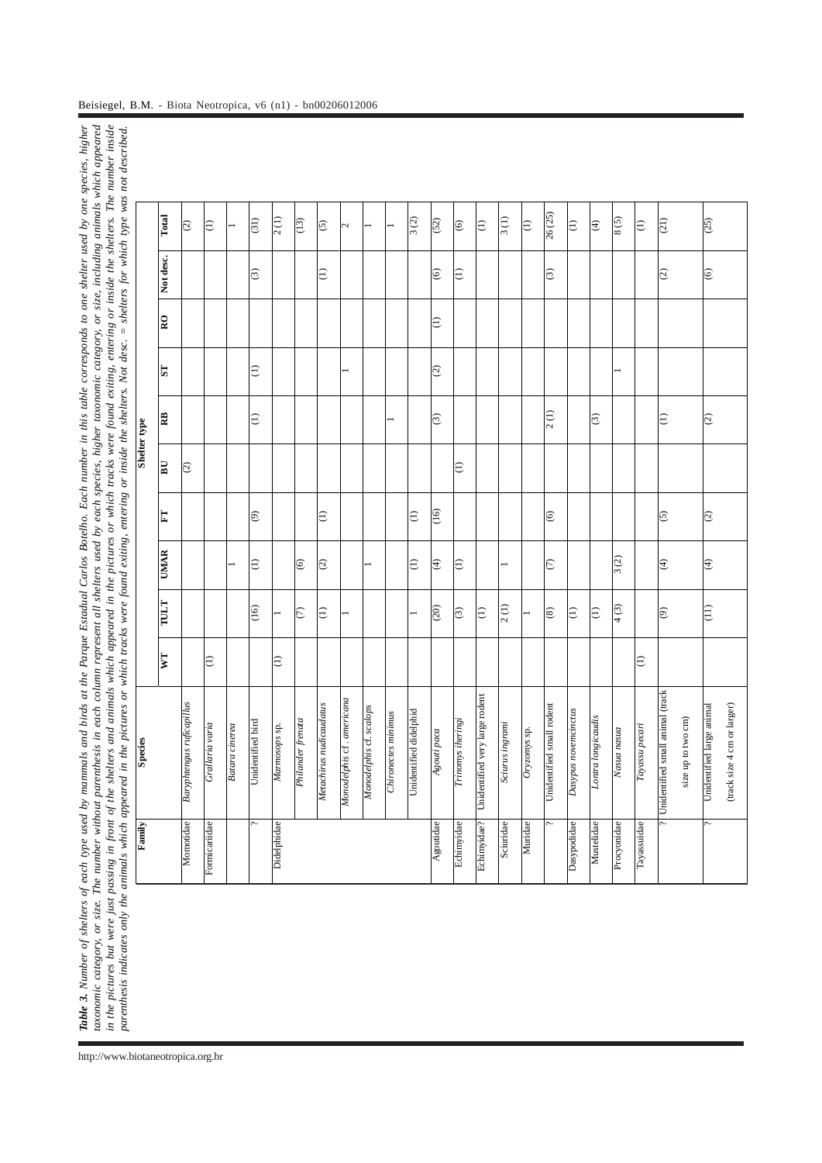Table 3. Number of shelters of each type used by mammals and birds at the Parque Estadual Carlos Botelho. Each number in this table corresponds to one shelter used by one species, higher<br>taxonomic category, or size. The nu **Table 3.** Number of shelters of each type used by mammals and birds at the Parque Estadual Carlos Botelho. Each number in this table corresponds to one shelter used by one species, higher<br>taxonomic category, or size. The

| <b>UMAR</b><br>3(2)<br>$\ominus$<br>$\widehat{z}$<br>$\widehat{\circ}$<br>$\odot$<br>$\oplus$<br>$\widehat{c}$<br>$\oplus$<br>Э<br>TULT<br>2(1)<br>4(3)<br>(16)<br>(20)<br>$\ominus$<br>$\epsilon$<br>$\ominus$<br>$\odot$<br>$\circledast$<br>$\ominus$<br>$\circledcirc$<br>$\odot$ | BU<br>$\odot$<br>Ξ<br>(16)<br>$\ominus$<br>$\widehat{z}$<br>FT<br>$\circledcirc$<br>$\circledcirc$<br>ල | 2(1)<br>RB<br>$\odot$<br>$\ominus$<br>$\odot$<br>$\ominus$<br>-<br>Shelter type | $\ominus$<br>$\mathbf{r}$<br>$\odot$ | Not desc.<br>$\ominus$<br>$\odot$<br>$\circledcirc$<br>$\odot$<br>$\odot$<br>Ξ<br>$\overline{R}$<br>$\ominus$ |
|---------------------------------------------------------------------------------------------------------------------------------------------------------------------------------------------------------------------------------------------------------------------------------------|---------------------------------------------------------------------------------------------------------|---------------------------------------------------------------------------------|--------------------------------------|---------------------------------------------------------------------------------------------------------------|
|                                                                                                                                                                                                                                                                                       |                                                                                                         |                                                                                 |                                      |                                                                                                               |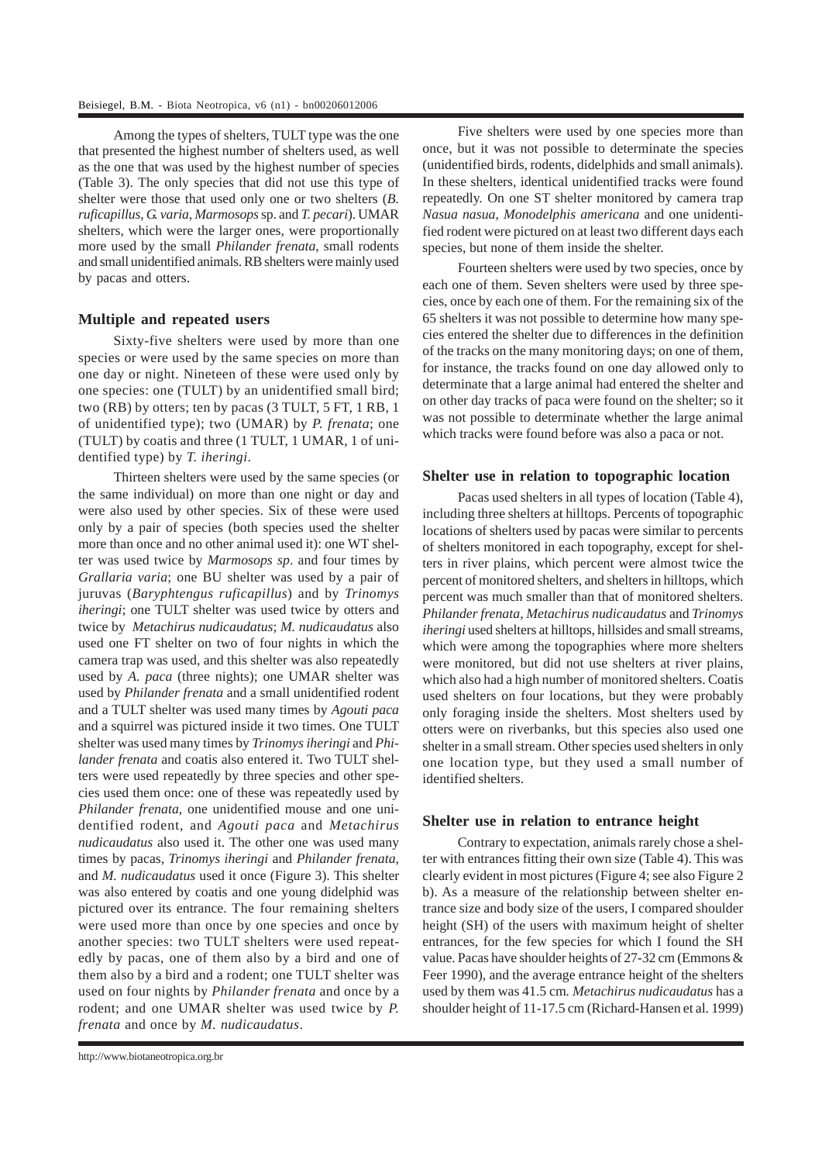Among the types of shelters, TULT type was the one that presented the highest number of shelters used, as well as the one that was used by the highest number of species (Table 3). The only species that did not use this type of shelter were those that used only one or two shelters (*B. ruficapillus*, *G. varia*, *Marmosops* sp. and *T. pecari*). UMAR shelters, which were the larger ones, were proportionally more used by the small *Philander frenata*, small rodents and small unidentified animals. RB shelters were mainly used by pacas and otters.

#### **Multiple and repeated users**

Sixty-five shelters were used by more than one species or were used by the same species on more than one day or night. Nineteen of these were used only by one species: one (TULT) by an unidentified small bird; two (RB) by otters; ten by pacas (3 TULT, 5 FT, 1 RB, 1 of unidentified type); two (UMAR) by *P. frenata*; one (TULT) by coatis and three (1 TULT, 1 UMAR, 1 of unidentified type) by *T. iheringi*.

Thirteen shelters were used by the same species (or the same individual) on more than one night or day and were also used by other species. Six of these were used only by a pair of species (both species used the shelter more than once and no other animal used it): one WT shelter was used twice by *Marmosops sp*. and four times by *Grallaria varia*; one BU shelter was used by a pair of juruvas (*Baryphtengus ruficapillus*) and by *Trinomys iheringi*; one TULT shelter was used twice by otters and twice by *Metachirus nudicaudatus*; *M. nudicaudatus* also used one FT shelter on two of four nights in which the camera trap was used, and this shelter was also repeatedly used by *A. paca* (three nights); one UMAR shelter was used by *Philander frenata* and a small unidentified rodent and a TULT shelter was used many times by *Agouti paca* and a squirrel was pictured inside it two times. One TULT shelter was used many times by *Trinomys iheringi* and *Philander frenata* and coatis also entered it. Two TULT shelters were used repeatedly by three species and other species used them once: one of these was repeatedly used by *Philander frenata*, one unidentified mouse and one unidentified rodent, and *Agouti paca* and *Metachirus nudicaudatus* also used it. The other one was used many times by pacas, *Trinomys iheringi* and *Philander frenata*, and *M. nudicaudatus* used it once ([Figure 3\)](#page-15-0). This shelter was also entered by coatis and one young didelphid was pictured over its entrance. The four remaining shelters were used more than once by one species and once by another species: two TULT shelters were used repeatedly by pacas, one of them also by a bird and one of them also by a bird and a rodent; one TULT shelter was used on four nights by *Philander frenata* and once by a rodent; and one UMAR shelter was used twice by *P. frenata* and once by *M. nudicaudatus*.

Five shelters were used by one species more than once, but it was not possible to determinate the species (unidentified birds, rodents, didelphids and small animals). In these shelters, identical unidentified tracks were found repeatedly. On one ST shelter monitored by camera trap *Nasua nasua*, *Monodelphis americana* and one unidentified rodent were pictured on at least two different days each species, but none of them inside the shelter.

Fourteen shelters were used by two species, once by each one of them. Seven shelters were used by three species, once by each one of them. For the remaining six of the 65 shelters it was not possible to determine how many species entered the shelter due to differences in the definition of the tracks on the many monitoring days; on one of them, for instance, the tracks found on one day allowed only to determinate that a large animal had entered the shelter and on other day tracks of paca were found on the shelter; so it was not possible to determinate whether the large animal which tracks were found before was also a paca or not.

#### **Shelter use in relation to topographic location**

Pacas used shelters in all types of location [\(Table 4\)](#page-8-0), including three shelters at hilltops. Percents of topographic locations of shelters used by pacas were similar to percents of shelters monitored in each topography, except for shelters in river plains, which percent were almost twice the percent of monitored shelters, and shelters in hilltops, which percent was much smaller than that of monitored shelters. *Philander frenata*, *Metachirus nudicaudatus* and *Trinomys iheringi* used shelters at hilltops, hillsides and small streams, which were among the topographies where more shelters were monitored, but did not use shelters at river plains, which also had a high number of monitored shelters. Coatis used shelters on four locations, but they were probably only foraging inside the shelters. Most shelters used by otters were on riverbanks, but this species also used one shelter in a small stream. Other species used shelters in only one location type, but they used a small number of identified shelters.

#### **Shelter use in relation to entrance height**

Contrary to expectation, animals rarely chose a shelter with entrances fitting their own size [\(Table 4](#page-8-0)). This was clearly evident in most pictures [\(Figure 4](#page-15-0); see also [Figure 2](#page-14-0) b). As a measure of the relationship between shelter entrance size and body size of the users, I compared shoulder height (SH) of the users with maximum height of shelter entrances, for the few species for which I found the SH value. Pacas have shoulder heights of 27-32 cm (Emmons & Feer 1990), and the average entrance height of the shelters used by them was 41.5 cm*. Metachirus nudicaudatus* has a shoulder height of 11-17.5 cm (Richard-Hansen et al. 1999)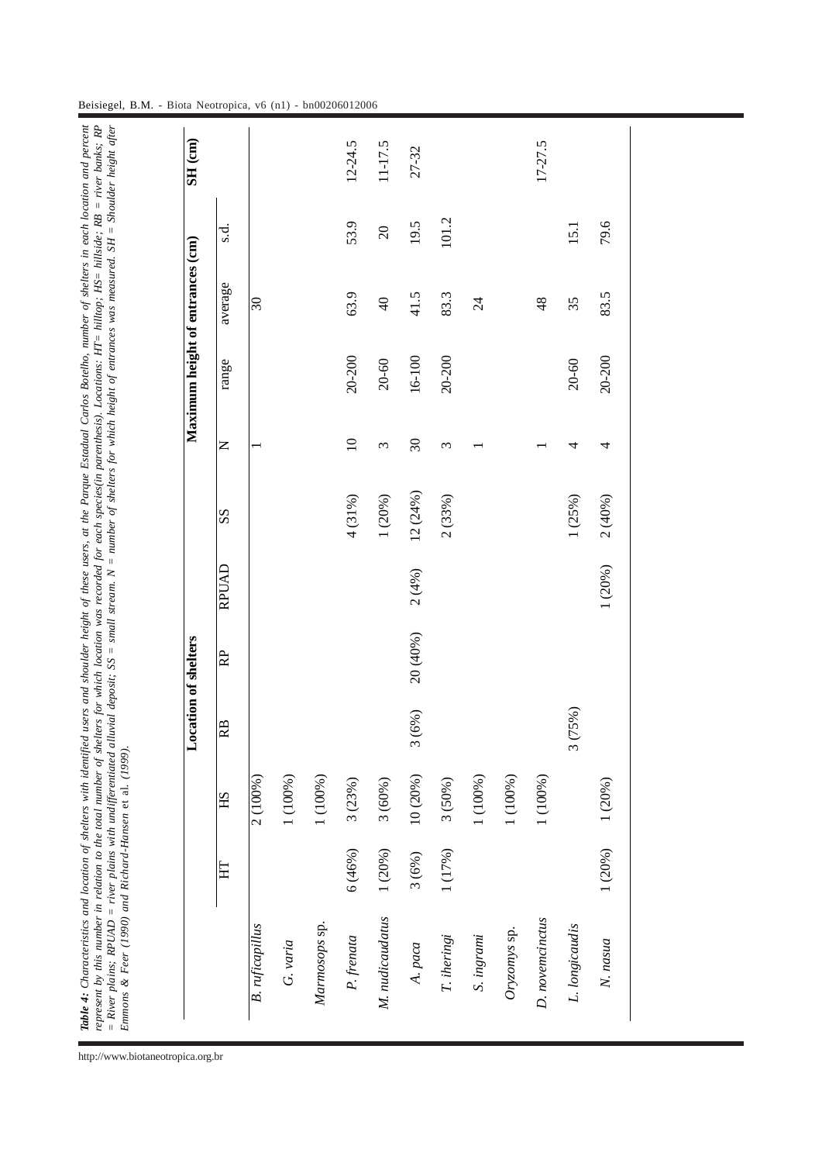|                 |         |          |                           | Location of shelters |         |         |                       | Maximum height of entrances (cm) |                |          | SH (cm)     |
|-----------------|---------|----------|---------------------------|----------------------|---------|---------|-----------------------|----------------------------------|----------------|----------|-------------|
|                 | ΗT      | НS       | $\mathbf{a}$<br>$\approx$ | RP                   | RPUAD   | SS      | Z                     | range                            | average        | s.d      |             |
| B. ruficapillus |         | 2 (100%) |                           |                      |         |         |                       |                                  | $\mathfrak{S}$ |          |             |
| G. varia        |         | 1 (100%) |                           |                      |         |         |                       |                                  |                |          |             |
| Marmosops sp.   |         | 1 (100%) |                           |                      |         |         |                       |                                  |                |          |             |
| P. frenata      | 6(46%)  | 3(23%)   |                           |                      |         | 4 (31%) | $\Omega$              | 20-200                           | 63.9           | 53.9     | $12 - 24.5$ |
| M. nudicaudatus | 1(20%)  | 3(60%)   |                           |                      |         | 1(20%)  | $\epsilon$            | $20 - 60$                        | $\overline{4}$ | $\Omega$ | $11 - 17.5$ |
| A. $paca$       | 3(6%)   | 10 (20%) | 3(6%)                     | 20 (40%)             | 2(4%)   | 12(24%) | $\mathcal{S}$         | 16-100                           | 41.5           | 19.5     | $27 - 32$   |
| T. iheringi     | 1 (17%) | 3 (50%)  |                           |                      |         | 2(33%)  | $\tilde{\phantom{0}}$ | 20-200                           | 83.3           | 101.2    |             |
| S. ingrami      |         | 1 (100%) |                           |                      |         |         |                       |                                  | $\overline{2}$ |          |             |
| Oryzomys sp.    |         | 1(100%)  |                           |                      |         |         |                       |                                  |                |          |             |
| D. novemcinctus |         | 1 (100%) |                           |                      |         |         |                       |                                  | 48             |          | $17 - 27.5$ |
| L. longicaudis  |         |          | 5%)<br>3(7)               |                      |         | 1(25%)  | 4                     | $20 - 60$                        | 35             | 15.1     |             |
| N. nasua        | 1(20%)  | 1 (20%)  |                           |                      | 1 (20%) | 2(40%)  | 4                     | 20-200                           | 83.5           | 79.6     |             |

<span id="page-8-0"></span>Beisiegel, B.M. - Biota Neotropica, v6 (n1) - bn00206012006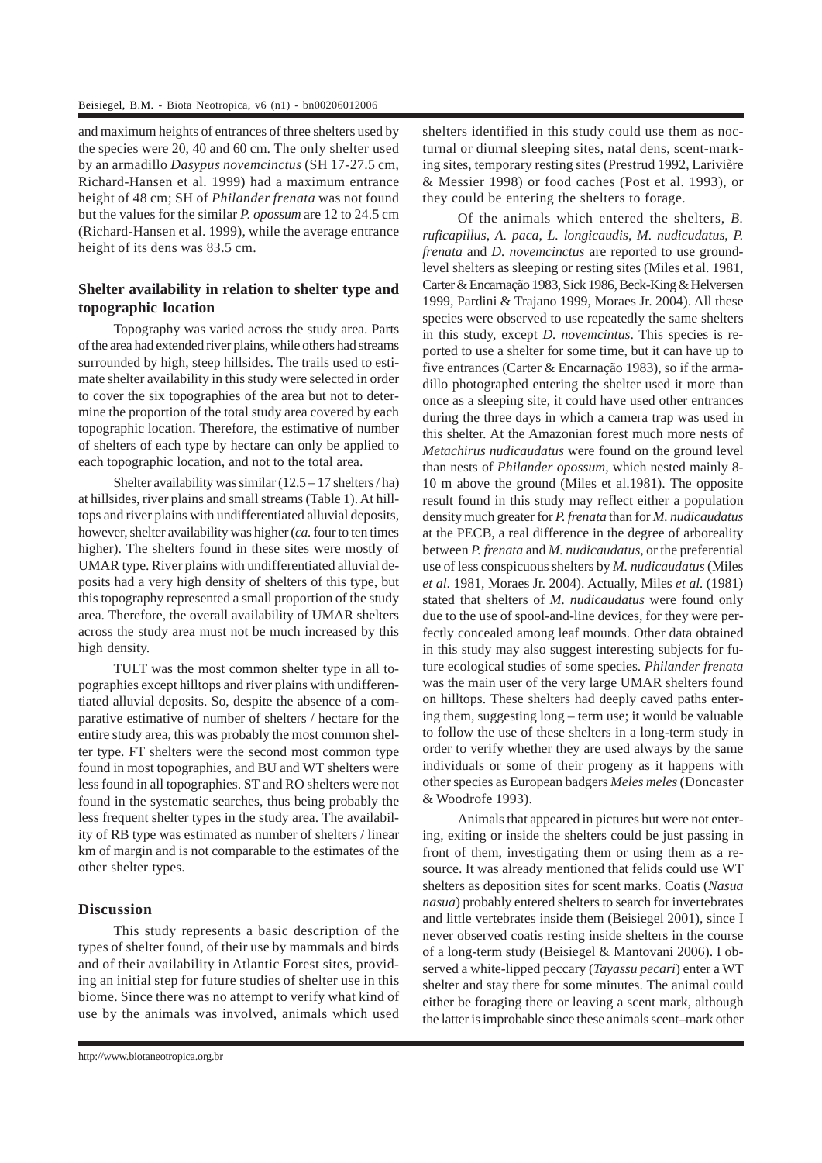and maximum heights of entrances of three shelters used by the species were 20, 40 and 60 cm. The only shelter used by an armadillo *Dasypus novemcinctus* (SH 17-27.5 cm, Richard-Hansen et al. 1999) had a maximum entrance height of 48 cm; SH of *Philander frenata* was not found but the values for the similar *P. opossum* are 12 to 24.5 cm (Richard-Hansen et al. 1999), while the average entrance height of its dens was 83.5 cm.

## **Shelter availability in relation to shelter type and topographic location**

Topography was varied across the study area. Parts of the area had extended river plains, while others had streams surrounded by high, steep hillsides. The trails used to estimate shelter availability in this study were selected in order to cover the six topographies of the area but not to determine the proportion of the total study area covered by each topographic location. Therefore, the estimative of number of shelters of each type by hectare can only be applied to each topographic location, and not to the total area.

Shelter availability was similar  $(12.5 - 17$  shelters / ha) at hillsides, river plains and small streams [\(Table 1\)](#page-5-0). At hilltops and river plains with undifferentiated alluvial deposits, however, shelter availability was higher (*ca.* four to ten times higher). The shelters found in these sites were mostly of UMAR type. River plains with undifferentiated alluvial deposits had a very high density of shelters of this type, but this topography represented a small proportion of the study area. Therefore, the overall availability of UMAR shelters across the study area must not be much increased by this high density.

TULT was the most common shelter type in all topographies except hilltops and river plains with undifferentiated alluvial deposits. So, despite the absence of a comparative estimative of number of shelters / hectare for the entire study area, this was probably the most common shelter type. FT shelters were the second most common type found in most topographies, and BU and WT shelters were less found in all topographies. ST and RO shelters were not found in the systematic searches, thus being probably the less frequent shelter types in the study area. The availability of RB type was estimated as number of shelters / linear km of margin and is not comparable to the estimates of the other shelter types.

## **Discussion**

This study represents a basic description of the types of shelter found, of their use by mammals and birds and of their availability in Atlantic Forest sites, providing an initial step for future studies of shelter use in this biome. Since there was no attempt to verify what kind of use by the animals was involved, animals which used shelters identified in this study could use them as nocturnal or diurnal sleeping sites, natal dens, scent-marking sites, temporary resting sites (Prestrud 1992, Larivière & Messier 1998) or food caches (Post et al. 1993), or they could be entering the shelters to forage.

Of the animals which entered the shelters, *B. ruficapillus*, *A. paca*, *L. longicaudis*, *M. nudicudatus*, *P. frenata* and *D. novemcinctus* are reported to use groundlevel shelters as sleeping or resting sites (Miles et al. 1981, Carter & Encarnação 1983, Sick 1986, Beck-King & Helversen 1999, Pardini & Trajano 1999, Moraes Jr. 2004). All these species were observed to use repeatedly the same shelters in this study, except *D. novemcintus*. This species is reported to use a shelter for some time, but it can have up to five entrances (Carter & Encarnação 1983), so if the armadillo photographed entering the shelter used it more than once as a sleeping site, it could have used other entrances during the three days in which a camera trap was used in this shelter. At the Amazonian forest much more nests of *Metachirus nudicaudatus* were found on the ground level than nests of *Philander opossum,* which nested mainly 8- 10 m above the ground (Miles et al.1981). The opposite result found in this study may reflect either a population density much greater for *P. frenata* than for *M. nudicaudatus* at the PECB, a real difference in the degree of arboreality between *P. frenata* and *M. nudicaudatus*, or the preferential use of less conspicuous shelters by *M. nudicaudatus* (Miles *et al*. 1981, Moraes Jr. 2004). Actually, Miles *et al.* (1981) stated that shelters of *M. nudicaudatus* were found only due to the use of spool-and-line devices, for they were perfectly concealed among leaf mounds. Other data obtained in this study may also suggest interesting subjects for future ecological studies of some species. *Philander frenata* was the main user of the very large UMAR shelters found on hilltops. These shelters had deeply caved paths entering them, suggesting long – term use; it would be valuable to follow the use of these shelters in a long-term study in order to verify whether they are used always by the same individuals or some of their progeny as it happens with other species as European badgers *Meles meles* (Doncaster & Woodrofe 1993).

Animals that appeared in pictures but were not entering, exiting or inside the shelters could be just passing in front of them, investigating them or using them as a resource. It was already mentioned that felids could use WT shelters as deposition sites for scent marks. Coatis (*Nasua nasua*) probably entered shelters to search for invertebrates and little vertebrates inside them (Beisiegel 2001), since I never observed coatis resting inside shelters in the course of a long-term study (Beisiegel & Mantovani 2006). I observed a white-lipped peccary (*Tayassu pecari*) enter a WT shelter and stay there for some minutes. The animal could either be foraging there or leaving a scent mark, although the latter is improbable since these animals scent–mark other

<http://www.biotaneotropica.org.br>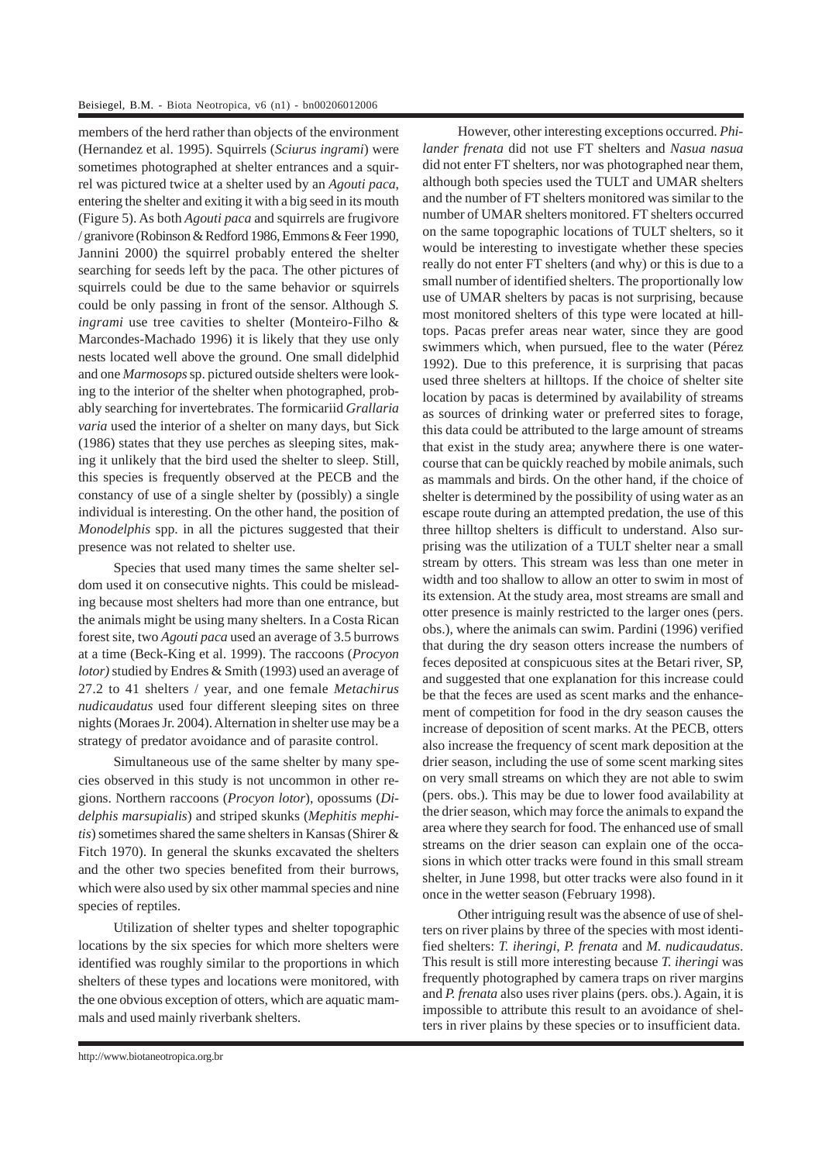members of the herd rather than objects of the environment (Hernandez et al. 1995). Squirrels (*Sciurus ingrami*) were sometimes photographed at shelter entrances and a squirrel was pictured twice at a shelter used by an *Agouti paca*, entering the shelter and exiting it with a big seed in its mouth [\(Figure 5](#page-15-0)). As both *Agouti paca* and squirrels are frugivore / granivore (Robinson & Redford 1986, Emmons & Feer 1990, Jannini 2000) the squirrel probably entered the shelter searching for seeds left by the paca. The other pictures of squirrels could be due to the same behavior or squirrels could be only passing in front of the sensor. Although *S. ingrami* use tree cavities to shelter (Monteiro-Filho & Marcondes-Machado 1996) it is likely that they use only nests located well above the ground. One small didelphid and one *Marmosops* sp. pictured outside shelters were looking to the interior of the shelter when photographed, probably searching for invertebrates. The formicariid *Grallaria varia* used the interior of a shelter on many days, but Sick (1986) states that they use perches as sleeping sites, making it unlikely that the bird used the shelter to sleep. Still, this species is frequently observed at the PECB and the constancy of use of a single shelter by (possibly) a single individual is interesting. On the other hand, the position of *Monodelphis* spp. in all the pictures suggested that their presence was not related to shelter use.

Species that used many times the same shelter seldom used it on consecutive nights. This could be misleading because most shelters had more than one entrance, but the animals might be using many shelters. In a Costa Rican forest site, two *Agouti paca* used an average of 3.5 burrows at a time (Beck-King et al. 1999). The raccoons (*Procyon lotor)* studied by Endres & Smith (1993) used an average of 27.2 to 41 shelters / year, and one female *Metachirus nudicaudatus* used four different sleeping sites on three nights (Moraes Jr. 2004). Alternation in shelter use may be a strategy of predator avoidance and of parasite control.

Simultaneous use of the same shelter by many species observed in this study is not uncommon in other regions. Northern raccoons (*Procyon lotor*), opossums (*Didelphis marsupialis*) and striped skunks (*Mephitis mephitis*) sometimes shared the same shelters in Kansas (Shirer & Fitch 1970). In general the skunks excavated the shelters and the other two species benefited from their burrows, which were also used by six other mammal species and nine species of reptiles.

Utilization of shelter types and shelter topographic locations by the six species for which more shelters were identified was roughly similar to the proportions in which shelters of these types and locations were monitored, with the one obvious exception of otters, which are aquatic mammals and used mainly riverbank shelters.

However, other interesting exceptions occurred. *Philander frenata* did not use FT shelters and *Nasua nasua* did not enter FT shelters, nor was photographed near them, although both species used the TULT and UMAR shelters and the number of FT shelters monitored was similar to the number of UMAR shelters monitored. FT shelters occurred on the same topographic locations of TULT shelters, so it would be interesting to investigate whether these species really do not enter FT shelters (and why) or this is due to a small number of identified shelters. The proportionally low use of UMAR shelters by pacas is not surprising, because most monitored shelters of this type were located at hilltops. Pacas prefer areas near water, since they are good swimmers which, when pursued, flee to the water (Pérez 1992). Due to this preference, it is surprising that pacas used three shelters at hilltops. If the choice of shelter site location by pacas is determined by availability of streams as sources of drinking water or preferred sites to forage, this data could be attributed to the large amount of streams that exist in the study area; anywhere there is one watercourse that can be quickly reached by mobile animals, such as mammals and birds. On the other hand, if the choice of shelter is determined by the possibility of using water as an escape route during an attempted predation, the use of this three hilltop shelters is difficult to understand. Also surprising was the utilization of a TULT shelter near a small stream by otters. This stream was less than one meter in width and too shallow to allow an otter to swim in most of its extension. At the study area, most streams are small and otter presence is mainly restricted to the larger ones (pers. obs.), where the animals can swim. Pardini (1996) verified that during the dry season otters increase the numbers of feces deposited at conspicuous sites at the Betari river, SP, and suggested that one explanation for this increase could be that the feces are used as scent marks and the enhancement of competition for food in the dry season causes the increase of deposition of scent marks. At the PECB, otters also increase the frequency of scent mark deposition at the drier season, including the use of some scent marking sites on very small streams on which they are not able to swim (pers. obs.). This may be due to lower food availability at the drier season, which may force the animals to expand the area where they search for food. The enhanced use of small streams on the drier season can explain one of the occasions in which otter tracks were found in this small stream shelter, in June 1998, but otter tracks were also found in it once in the wetter season (February 1998).

Other intriguing result was the absence of use of shelters on river plains by three of the species with most identified shelters: *T. iheringi*, *P. frenata* and *M. nudicaudatus*. This result is still more interesting because *T. iheringi* was frequently photographed by camera traps on river margins and *P. frenata* also uses river plains (pers. obs.). Again, it is impossible to attribute this result to an avoidance of shelters in river plains by these species or to insufficient data.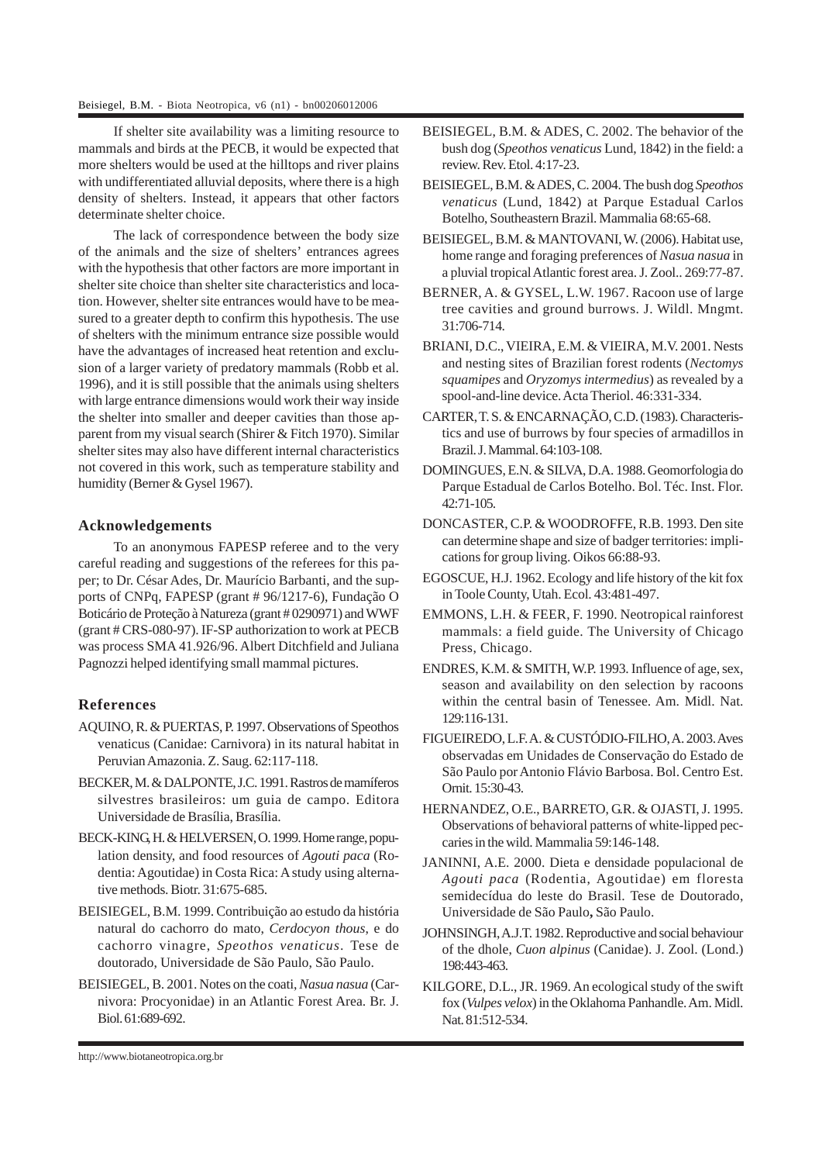If shelter site availability was a limiting resource to mammals and birds at the PECB, it would be expected that more shelters would be used at the hilltops and river plains with undifferentiated alluvial deposits, where there is a high density of shelters. Instead, it appears that other factors determinate shelter choice.

The lack of correspondence between the body size of the animals and the size of shelters' entrances agrees with the hypothesis that other factors are more important in shelter site choice than shelter site characteristics and location. However, shelter site entrances would have to be measured to a greater depth to confirm this hypothesis. The use of shelters with the minimum entrance size possible would have the advantages of increased heat retention and exclusion of a larger variety of predatory mammals (Robb et al. 1996), and it is still possible that the animals using shelters with large entrance dimensions would work their way inside the shelter into smaller and deeper cavities than those apparent from my visual search (Shirer & Fitch 1970). Similar shelter sites may also have different internal characteristics not covered in this work, such as temperature stability and humidity (Berner & Gysel 1967).

#### **Acknowledgements**

To an anonymous FAPESP referee and to the very careful reading and suggestions of the referees for this paper; to Dr. César Ades, Dr. Maurício Barbanti, and the supports of CNPq, FAPESP (grant # 96/1217-6), Fundação O Boticário de Proteção à Natureza (grant # 0290971) and WWF (grant # CRS-080-97). IF-SP authorization to work at PECB was process SMA 41.926/96. Albert Ditchfield and Juliana Pagnozzi helped identifying small mammal pictures.

## **References**

- AQUINO, R. & PUERTAS, P. 1997. Observations of Speothos venaticus (Canidae: Carnivora) in its natural habitat in Peruvian Amazonia. Z. Saug. 62:117-118.
- BECKER, M. & DALPONTE, J.C. 1991. Rastros de mamíferos silvestres brasileiros: um guia de campo. Editora Universidade de Brasília, Brasília.
- BECK-KING, H. & HELVERSEN, O. 1999. Home range, population density, and food resources of *Agouti paca* (Rodentia: Agoutidae) in Costa Rica: A study using alternative methods. Biotr. 31:675-685.
- BEISIEGEL, B.M. 1999. Contribuição ao estudo da história natural do cachorro do mato, *Cerdocyon thous*, e do cachorro vinagre, *Speothos venaticus*. Tese de doutorado, Universidade de São Paulo, São Paulo.
- BEISIEGEL, B. 2001. Notes on the coati, *Nasua nasua* (Carnivora: Procyonidae) in an Atlantic Forest Area. Br. J. Biol. 61:689-692.
- BEISIEGEL, B.M. & ADES, C. 2002. The behavior of the bush dog (*Speothos venaticus* Lund, 1842) in the field: a review. Rev. Etol. 4:17-23.
- BEISIEGEL, B.M. & ADES, C. 2004. The bush dog *Speothos venaticus* (Lund, 1842) at Parque Estadual Carlos Botelho, Southeastern Brazil. Mammalia 68:65-68.
- BEISIEGEL, B.M. & MANTOVANI, W. (2006). Habitat use, home range and foraging preferences of *Nasua nasua* in a pluvial tropical Atlantic forest area. J. Zool.. 269:77-87.
- BERNER, A. & GYSEL, L.W. 1967. Racoon use of large tree cavities and ground burrows. J. Wildl. Mngmt. 31:706-714.
- BRIANI, D.C., VIEIRA, E.M. & VIEIRA, M.V. 2001. Nests and nesting sites of Brazilian forest rodents (*Nectomys squamipes* and *Oryzomys intermedius*) as revealed by a spool-and-line device. Acta Theriol. 46:331-334.
- CARTER, T. S. & ENCARNAÇÃO, C.D. (1983). Characteristics and use of burrows by four species of armadillos in Brazil. J. Mammal. 64:103-108.
- DOMINGUES, E.N. & SILVA, D.A. 1988. Geomorfologia do Parque Estadual de Carlos Botelho. Bol. Téc. Inst. Flor. 42:71-105.
- DONCASTER, C.P. & WOODROFFE, R.B. 1993. Den site can determine shape and size of badger territories: implications for group living. Oikos 66:88-93.
- EGOSCUE, H.J. 1962. Ecology and life history of the kit fox in Toole County, Utah. Ecol. 43:481-497.
- EMMONS, L.H. & FEER, F. 1990. Neotropical rainforest mammals: a field guide. The University of Chicago Press, Chicago.
- ENDRES, K.M. & SMITH, W.P. 1993. Influence of age, sex, season and availability on den selection by racoons within the central basin of Tenessee. Am. Midl. Nat. 129:116-131.
- FIGUEIREDO, L.F. A. & CUSTÓDIO-FILHO, A. 2003. Aves observadas em Unidades de Conservação do Estado de São Paulo por Antonio Flávio Barbosa. Bol. Centro Est. Ornit. 15:30-43.
- HERNANDEZ, O.E., BARRETO, G.R. & OJASTI, J. 1995. Observations of behavioral patterns of white-lipped peccaries in the wild. Mammalia 59:146-148.
- JANINNI, A.E. 2000. Dieta e densidade populacional de *Agouti paca* (Rodentia, Agoutidae) em floresta semidecídua do leste do Brasil. Tese de Doutorado, Universidade de São Paulo**,** São Paulo.
- JOHNSINGH, A.J.T. 1982. Reproductive and social behaviour of the dhole, *Cuon alpinus* (Canidae). J. Zool. (Lond.) 198:443-463.
- KILGORE, D.L., JR. 1969. An ecological study of the swift fox (*Vulpes velox*) in the Oklahoma Panhandle. Am. Midl. Nat. 81:512-534.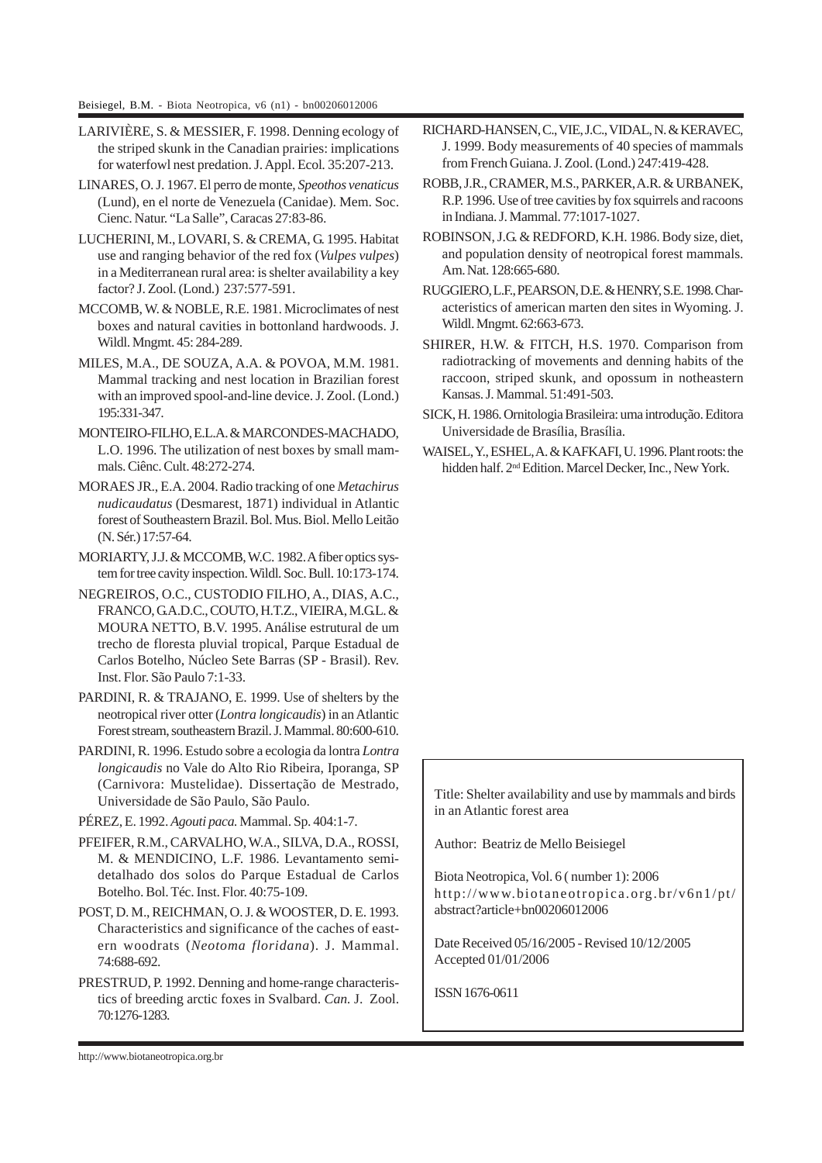- LARIVIÈRE, S. & MESSIER, F. 1998. Denning ecology of the striped skunk in the Canadian prairies: implications for waterfowl nest predation. J. Appl. Ecol*.* 35:207-213.
- LINARES, O. J. 1967. El perro de monte, *Speothos venaticus* (Lund), en el norte de Venezuela (Canidae). Mem. Soc. Cienc. Natur. "La Salle", Caracas 27:83-86.
- LUCHERINI, M., LOVARI, S. & CREMA, G. 1995. Habitat use and ranging behavior of the red fox (*Vulpes vulpes*) in a Mediterranean rural area: is shelter availability a key factor? J. Zool. (Lond.) 237:577-591.
- MCCOMB, W. & NOBLE, R.E. 1981. Microclimates of nest boxes and natural cavities in bottonland hardwoods. J. Wildl. Mngmt. 45: 284-289.
- MILES, M.A., DE SOUZA, A.A. & POVOA, M.M. 1981. Mammal tracking and nest location in Brazilian forest with an improved spool-and-line device. J. Zool. (Lond.) 195:331-347.
- MONTEIRO-FILHO, E.L.A. & MARCONDES-MACHADO, L.O. 1996. The utilization of nest boxes by small mammals. Ciênc. Cult. 48:272-274.
- MORAES JR., E.A. 2004. Radio tracking of one *Metachirus nudicaudatus* (Desmarest, 1871) individual in Atlantic forest of Southeastern Brazil. Bol. Mus. Biol. Mello Leitão (N. Sér.) 17:57-64.
- MORIARTY, J.J. & MCCOMB, W.C. 1982. A fiber optics system for tree cavity inspection. Wildl. Soc. Bull. 10:173-174.
- NEGREIROS, O.C., CUSTODIO FILHO, A., DIAS, A.C., FRANCO, G.A.D.C., COUTO, H.T.Z., VIEIRA, M.G.L. & MOURA NETTO, B.V. 1995. Análise estrutural de um trecho de floresta pluvial tropical, Parque Estadual de Carlos Botelho, Núcleo Sete Barras (SP - Brasil). Rev. Inst. Flor. São Paulo 7:1-33.
- PARDINI, R. & TRAJANO, E. 1999. Use of shelters by the neotropical river otter (*Lontra longicaudis*) in an Atlantic Forest stream, southeastern Brazil. J. Mammal. 80:600-610.
- PARDINI, R. 1996. Estudo sobre a ecologia da lontra *Lontra longicaudis* no Vale do Alto Rio Ribeira, Iporanga, SP (Carnivora: Mustelidae). Dissertação de Mestrado, Universidade de São Paulo, São Paulo.
- PÉREZ, E. 1992. *Agouti paca.* Mammal. Sp. 404:1-7.
- PFEIFER, R.M., CARVALHO, W.A., SILVA, D.A., ROSSI, M. & MENDICINO, L.F. 1986. Levantamento semidetalhado dos solos do Parque Estadual de Carlos Botelho. Bol. Téc. Inst. Flor. 40:75-109.
- POST, D. M., REICHMAN, O. J. & WOOSTER, D. E. 1993. Characteristics and significance of the caches of eastern woodrats (*Neotoma floridana*). J. Mammal. 74:688-692.
- PRESTRUD, P. 1992. Denning and home-range characteristics of breeding arctic foxes in Svalbard. *Can.* J. Zool. 70:1276-1283.

RICHARD-HANSEN, C., VIE, J.C., VIDAL, N. & KERAVEC, J. 1999. Body measurements of 40 species of mammals from French Guiana. J. Zool. (Lond.) 247:419-428.

- ROBB, J.R., CRAMER, M.S., PARKER, A.R. & URBANEK, R.P. 1996. Use of tree cavities by fox squirrels and racoons in Indiana. J. Mammal. 77:1017-1027.
- ROBINSON, J.G. & REDFORD, K.H. 1986. Body size, diet, and population density of neotropical forest mammals. Am. Nat. 128:665-680.
- RUGGIERO, L.F., PEARSON, D.E. & HENRY, S.E. 1998. Characteristics of american marten den sites in Wyoming. J. Wildl. Mngmt. 62:663-673.
- SHIRER, H.W. & FITCH, H.S. 1970. Comparison from radiotracking of movements and denning habits of the raccoon, striped skunk, and opossum in notheastern Kansas. J. Mammal. 51:491-503.
- SICK, H. 1986. Ornitologia Brasileira: uma introdução. Editora Universidade de Brasília, Brasília.
- WAISEL, Y., ESHEL, A. & KAFKAFI, U. 1996. Plant roots: the hidden half. 2nd Edition. Marcel Decker, Inc., New York.

Title: Shelter availability and use by mammals and birds in an Atlantic forest area

Author: Beatriz de Mello Beisiegel

Biota Neotropica, Vol. 6 ( number 1): 2006 [http://www.biotaneotropica.org.br/v6n1/pt/](http://www.biotaneotropica.org.br/v6n1/pt/abstract?article+bn00206012006) [abstract?article+bn00206012006](http://www.biotaneotropica.org.br/v6n1/pt/abstract?article+bn00206012006)

Date Received 05/16/2005 - Revised 10/12/2005 Accepted 01/01/2006

ISSN 1676-0611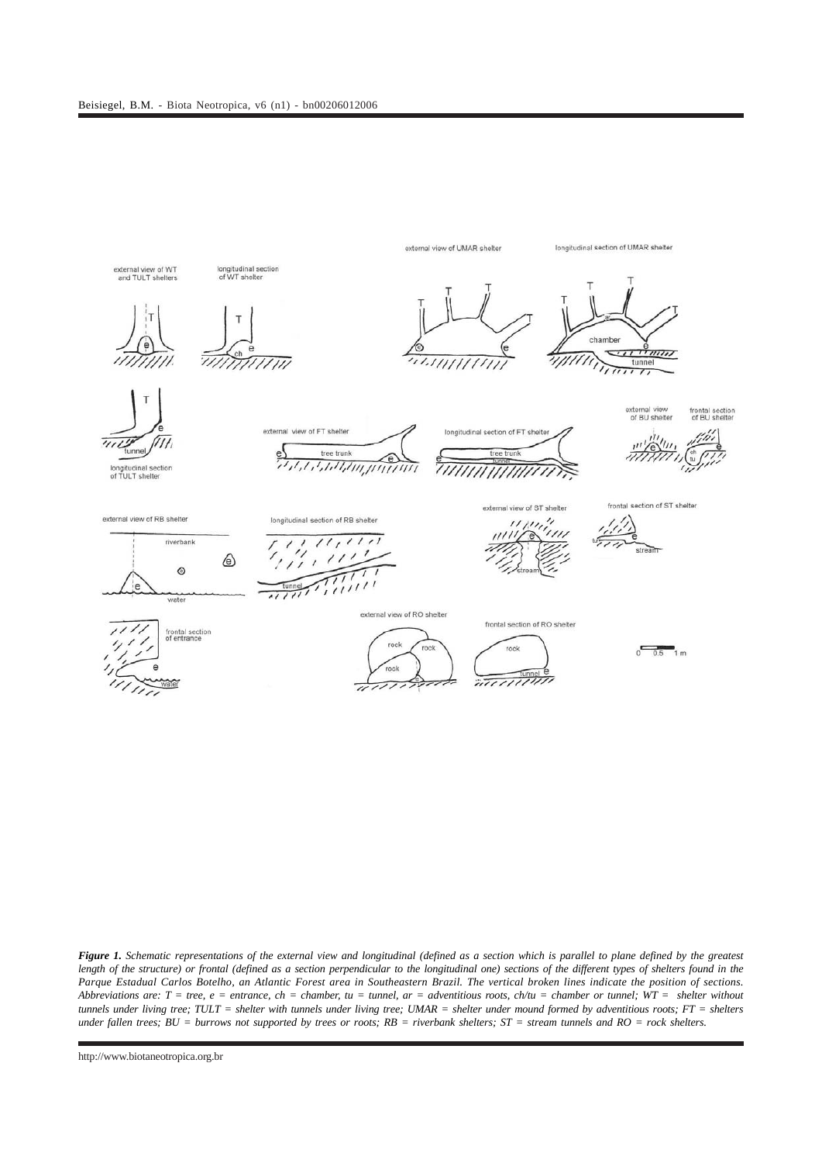<span id="page-13-0"></span>

*Figure 1. Schematic representations of the external view and longitudinal (defined as a section which is parallel to plane defined by the greatest length of the structure) or frontal (defined as a section perpendicular to the longitudinal one) sections of the different types of shelters found in the Parque Estadual Carlos Botelho, an Atlantic Forest area in Southeastern Brazil. The vertical broken lines indicate the position of sections. Abbreviations are: T = tree, e = entrance, ch = chamber, tu = tunnel, ar = adventitious roots, ch/tu = chamber or tunnel; WT = shelter without tunnels under living tree; TULT = shelter with tunnels under living tree; UMAR = shelter under mound formed by adventitious roots; FT = shelters under fallen trees; BU = burrows not supported by trees or roots; RB = riverbank shelters; ST = stream tunnels and RO = rock shelters.*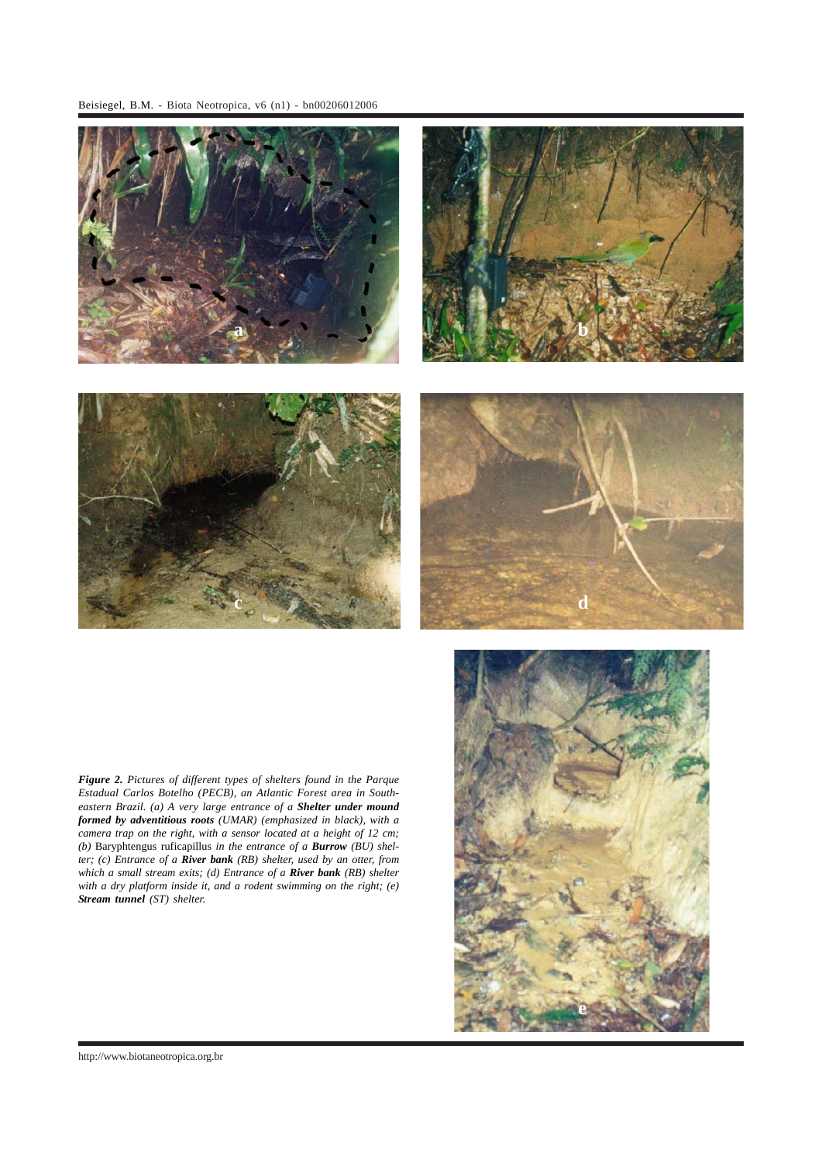<span id="page-14-0"></span>Beisiegel, B.M. - Biota Neotropica, v6 (n1) - bn00206012006









*Figure 2. Pictures of different types of shelters found in the Parque Estadual Carlos Botelho (PECB), an Atlantic Forest area in Southeastern Brazil. (a) A very large entrance of a Shelter under mound formed by adventitious roots (UMAR) (emphasized in black), with a camera trap on the right, with a sensor located at a height of 12 cm; (b)* Baryphtengus ruficapillus *in the entrance of a Burrow (BU) shelter; (c) Entrance of a River bank (RB) shelter, used by an otter, from which a small stream exits; (d) Entrance of a River bank (RB) shelter with a dry platform inside it, and a rodent swimming on the right; (e) Stream tunnel (ST) shelter.*